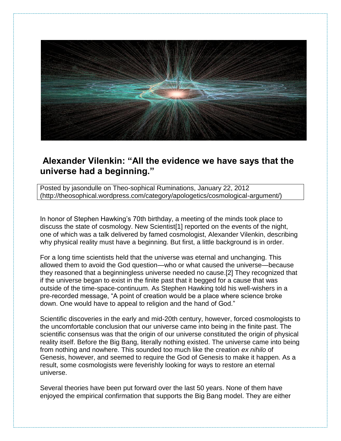

## **Alexander Vilenkin: "All the evidence we have says that the universe had a beginning."**

Posted by jasondulle on Theo-sophical Ruminations, January 22, 2012 (http://theosophical.wordpress.com/category/apologetics/cosmological-argument/)

In honor of Stephen Hawking's 70th birthday, a meeting of the minds took place to discuss the state of cosmology. New Scientist[1] reported on the events of the night, one of which was a talk delivered by famed cosmologist, Alexander Vilenkin, describing why physical reality must have a beginning. But first, a little background is in order.

For a long time scientists held that the universe was eternal and unchanging. This allowed them to avoid the God question—who or what caused the universe—because they reasoned that a beginningless universe needed no cause.[2] They recognized that if the universe began to exist in the finite past that it begged for a cause that was outside of the time-space-continuum. As Stephen Hawking told his well-wishers in a pre-recorded message, "A point of creation would be a place where science broke down. One would have to appeal to religion and the hand of God."

Scientific discoveries in the early and mid-20th century, however, forced cosmologists to the uncomfortable conclusion that our universe came into being in the finite past. The scientific consensus was that the origin of our universe constituted the origin of physical reality itself. Before the Big Bang, literally nothing existed. The universe came into being from nothing and nowhere. This sounded too much like the creation *ex nihilo* of Genesis, however, and seemed to require the God of Genesis to make it happen. As a result, some cosmologists were feverishly looking for ways to restore an eternal universe.

Several theories have been put forward over the last 50 years. None of them have enjoyed the empirical confirmation that supports the Big Bang model. They are either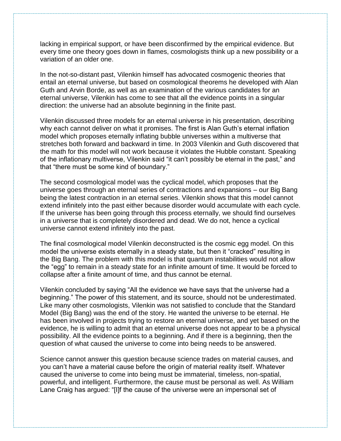lacking in empirical support, or have been disconfirmed by the empirical evidence. But every time one theory goes down in flames, cosmologists think up a new possibility or a variation of an older one.

In the not-so-distant past, Vilenkin himself has advocated cosmogenic theories that entail an eternal universe, but based on cosmological theorems he developed with Alan Guth and Arvin Borde, as well as an examination of the various candidates for an eternal universe, Vilenkin has come to see that all the evidence points in a singular direction: the universe had an absolute beginning in the finite past.

Vilenkin discussed three models for an eternal universe in his presentation, describing why each cannot deliver on what it promises. The first is Alan Guth's eternal inflation model which proposes eternally inflating bubble universes within a multiverse that stretches both forward and backward in time. In 2003 Vilenkin and Guth discovered that the math for this model will not work because it violates the Hubble constant. Speaking of the inflationary multiverse, Vilenkin said "it can't possibly be eternal in the past," and that "there must be some kind of boundary."

The second cosmological model was the cyclical model, which proposes that the universe goes through an eternal series of contractions and expansions – our Big Bang being the latest contraction in an eternal series. Vilenkin shows that this model cannot extend infinitely into the past either because disorder would accumulate with each cycle. If the universe has been going through this process eternally, we should find ourselves in a universe that is completely disordered and dead. We do not, hence a cyclical universe cannot extend infinitely into the past.

The final cosmological model Vilenkin deconstructed is the cosmic egg model. On this model the universe exists eternally in a steady state, but then it "cracked" resulting in the Big Bang. The problem with this model is that quantum instabilities would not allow the "egg" to remain in a steady state for an infinite amount of time. It would be forced to collapse after a finite amount of time, and thus cannot be eternal.

Vilenkin concluded by saying "All the evidence we have says that the universe had a beginning." The power of this statement, and its source, should not be underestimated. Like many other cosmologists, Vilenkin was not satisfied to conclude that the Standard Model (Big Bang) was the end of the story. He wanted the universe to be eternal. He has been involved in projects trying to restore an eternal universe, and yet based on the evidence, he is willing to admit that an eternal universe does not appear to be a physical possibility. All the evidence points to a beginning. And if there is a beginning, then the question of what caused the universe to come into being needs to be answered.

Science cannot answer this question because science trades on material causes, and you can't have a material cause before the origin of material reality itself. Whatever caused the universe to come into being must be immaterial, timeless, non-spatial, powerful, and intelligent. Furthermore, the cause must be personal as well. As William Lane Craig has argued: "[I]f the cause of the universe were an impersonal set of